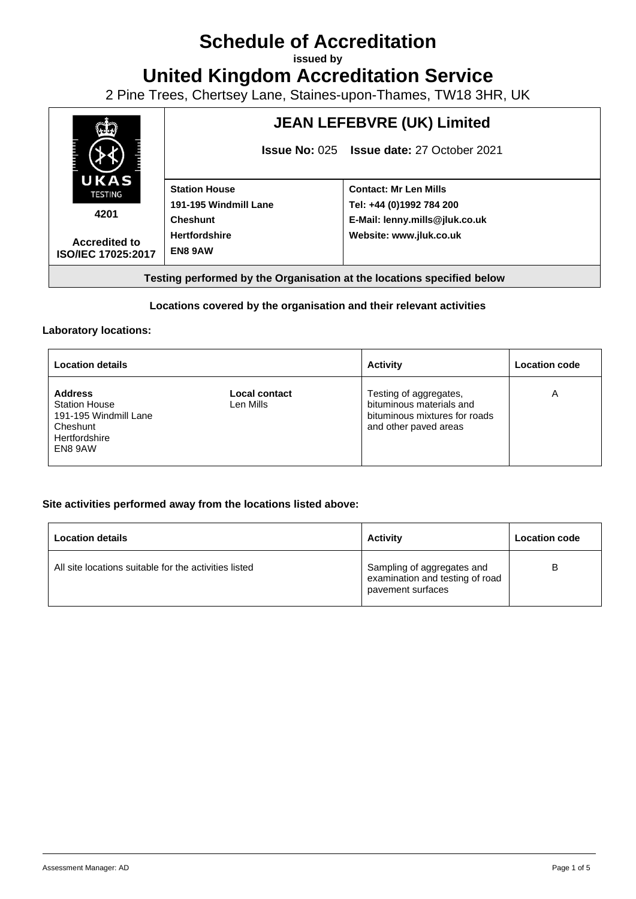# **Schedule of Accreditation**

**issued by**

**United Kingdom Accreditation Service**

2 Pine Trees, Chertsey Lane, Staines-upon-Thames, TW18 3HR, UK



### **Locations covered by the organisation and their relevant activities**

#### **Laboratory locations:**

| <b>Location details</b>                                                                                 |                            | <b>Activity</b>                                                                                              | <b>Location code</b> |
|---------------------------------------------------------------------------------------------------------|----------------------------|--------------------------------------------------------------------------------------------------------------|----------------------|
| <b>Address</b><br><b>Station House</b><br>191-195 Windmill Lane<br>Cheshunt<br>Hertfordshire<br>EN8 9AW | Local contact<br>Len Mills | Testing of aggregates,<br>bituminous materials and<br>bituminous mixtures for roads<br>and other paved areas | Α                    |

#### **Site activities performed away from the locations listed above:**

| <b>Location details</b>                               | <b>Activity</b>                                                                    | <b>Location code</b> |
|-------------------------------------------------------|------------------------------------------------------------------------------------|----------------------|
| All site locations suitable for the activities listed | Sampling of aggregates and<br>examination and testing of road<br>pavement surfaces | B                    |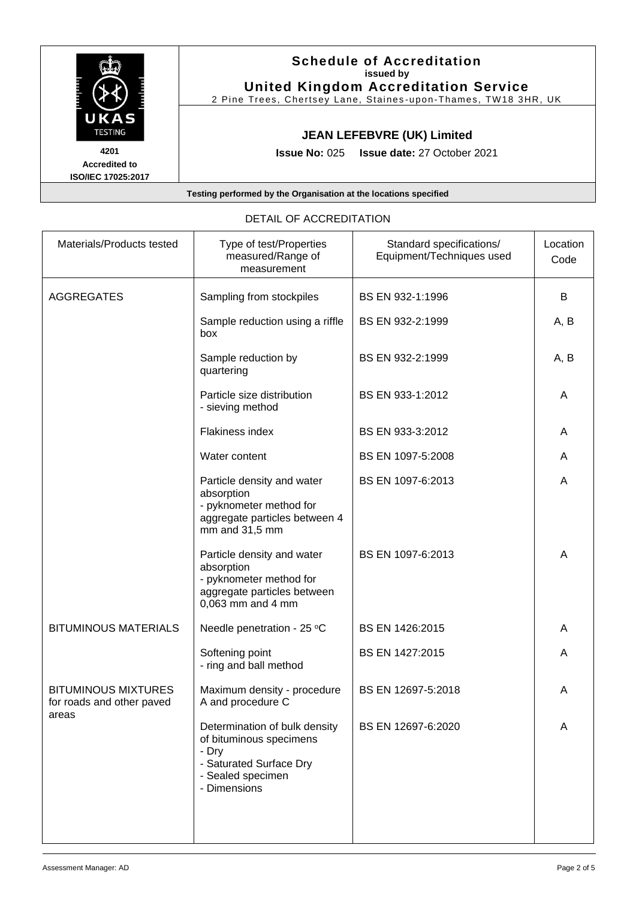| UKAS<br><b>TESTING</b>                             | <b>Schedule of Accreditation</b><br>issued by<br><b>United Kingdom Accreditation Service</b><br>2 Pine Trees, Chertsey Lane, Staines-upon-Thames, TW18 3HR, UK |
|----------------------------------------------------|----------------------------------------------------------------------------------------------------------------------------------------------------------------|
|                                                    | <b>JEAN LEFEBVRE (UK) Limited</b>                                                                                                                              |
| 4201<br><b>Accredited to</b><br>ISO/IEC 17025:2017 | <b>Issue No: 025 Issue date: 27 October 2021</b>                                                                                                               |
|                                                    | Testing performed by the Organisation at the locations specified                                                                                               |

| Materials/Products tested                               | Type of test/Properties<br>measured/Range of<br>measurement                                                                       | Standard specifications/<br>Equipment/Techniques used | Location<br>Code |
|---------------------------------------------------------|-----------------------------------------------------------------------------------------------------------------------------------|-------------------------------------------------------|------------------|
| <b>AGGREGATES</b>                                       | Sampling from stockpiles                                                                                                          | BS EN 932-1:1996                                      | В                |
|                                                         | Sample reduction using a riffle<br>box                                                                                            | BS EN 932-2:1999                                      | A, B             |
|                                                         | Sample reduction by<br>quartering                                                                                                 | BS EN 932-2:1999                                      | A, B             |
|                                                         | Particle size distribution<br>- sieving method                                                                                    | BS EN 933-1:2012                                      | A                |
|                                                         | Flakiness index                                                                                                                   | BS EN 933-3:2012                                      | A                |
|                                                         | Water content                                                                                                                     | BS EN 1097-5:2008                                     | A                |
|                                                         | Particle density and water<br>absorption<br>- pyknometer method for<br>aggregate particles between 4<br>mm and 31,5 mm            | BS EN 1097-6:2013                                     | A                |
|                                                         | Particle density and water<br>absorption<br>- pyknometer method for<br>aggregate particles between<br>0,063 mm and 4 mm           | BS EN 1097-6:2013                                     | Α                |
| <b>BITUMINOUS MATERIALS</b>                             | Needle penetration - 25 °C                                                                                                        | BS EN 1426:2015                                       | A                |
|                                                         | Softening point<br>- ring and ball method                                                                                         | BS EN 1427:2015                                       | A                |
| <b>BITUMINOUS MIXTURES</b><br>for roads and other paved | Maximum density - procedure<br>A and procedure C                                                                                  | BS EN 12697-5:2018                                    | A                |
| areas                                                   | Determination of bulk density<br>of bituminous specimens<br>- Dry<br>- Saturated Surface Dry<br>- Sealed specimen<br>- Dimensions | BS EN 12697-6:2020                                    | A                |

## DETAIL OF ACCREDITATION

┑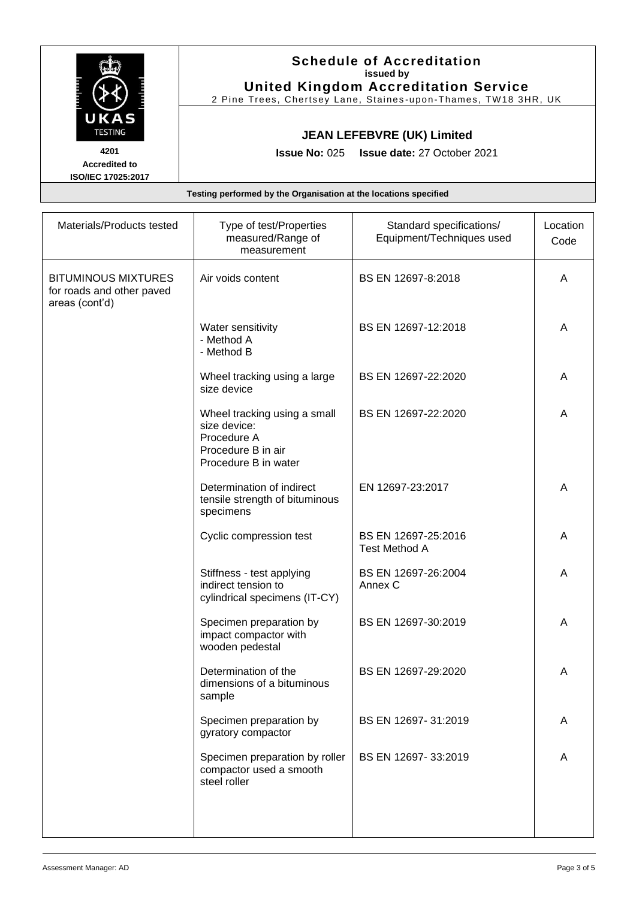|                                                                  | <b>Schedule of Accreditation</b><br>issued by                                                                 |  |
|------------------------------------------------------------------|---------------------------------------------------------------------------------------------------------------|--|
|                                                                  | <b>United Kingdom Accreditation Service</b><br>2 Pine Trees, Chertsey Lane, Staines-upon-Thames, TW18 3HR, UK |  |
| UKAS<br><b>TESTING</b>                                           | <b>JEAN LEFEBVRE (UK) Limited</b>                                                                             |  |
| 4201<br><b>Accredited to</b><br>ISO/IEC 17025:2017               | <b>Issue No: 025 Issue date: 27 October 2021</b>                                                              |  |
| Testing performed by the Organisation at the locations specified |                                                                                                               |  |

| Materials/Products tested                                                 | Type of test/Properties<br>measured/Range of<br>measurement                                               | Standard specifications/<br>Equipment/Techniques used | Location<br>Code |
|---------------------------------------------------------------------------|-----------------------------------------------------------------------------------------------------------|-------------------------------------------------------|------------------|
| <b>BITUMINOUS MIXTURES</b><br>for roads and other paved<br>areas (cont'd) | Air voids content                                                                                         | BS EN 12697-8:2018                                    | A                |
|                                                                           | Water sensitivity<br>- Method A<br>- Method B                                                             | BS EN 12697-12:2018                                   | A                |
|                                                                           | Wheel tracking using a large<br>size device                                                               | BS EN 12697-22:2020                                   | A                |
|                                                                           | Wheel tracking using a small<br>size device:<br>Procedure A<br>Procedure B in air<br>Procedure B in water | BS EN 12697-22:2020                                   | A                |
|                                                                           | Determination of indirect<br>tensile strength of bituminous<br>specimens                                  | EN 12697-23:2017                                      | A                |
|                                                                           | Cyclic compression test                                                                                   | BS EN 12697-25:2016<br><b>Test Method A</b>           | A                |
|                                                                           | Stiffness - test applying<br>indirect tension to<br>cylindrical specimens (IT-CY)                         | BS EN 12697-26:2004<br>Annex C                        | A                |
|                                                                           | Specimen preparation by<br>impact compactor with<br>wooden pedestal                                       | BS EN 12697-30:2019                                   | A                |
|                                                                           | Determination of the<br>dimensions of a bituminous<br>sample                                              | BS EN 12697-29:2020                                   | A                |
|                                                                           | Specimen preparation by<br>gyratory compactor                                                             | BS EN 12697-31:2019                                   | A                |
|                                                                           | Specimen preparation by roller<br>compactor used a smooth<br>steel roller                                 | BS EN 12697-33:2019                                   | Α                |
|                                                                           |                                                                                                           |                                                       |                  |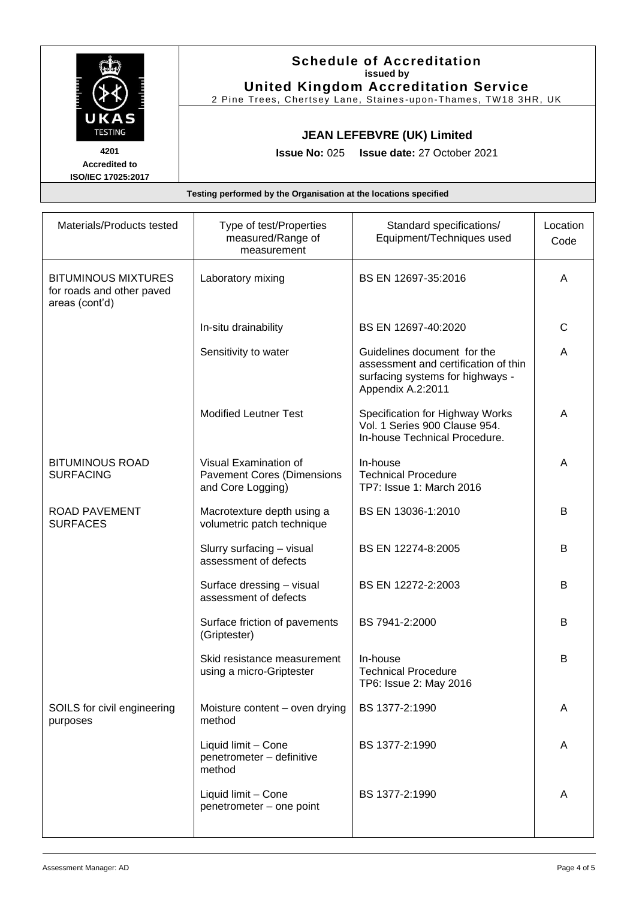|                                                                                     |                                                                                       | <b>Schedule of Accreditation</b><br>issued by<br><b>United Kingdom Accreditation Service</b><br>2 Pine Trees, Chertsey Lane, Staines-upon-Thames, TW18 3HR, UK |                  |  |
|-------------------------------------------------------------------------------------|---------------------------------------------------------------------------------------|----------------------------------------------------------------------------------------------------------------------------------------------------------------|------------------|--|
| UKAS<br><b>TESTING</b><br>4201<br><b>Accredited to</b><br><b>ISO/IEC 17025:2017</b> | <b>JEAN LEFEBVRE (UK) Limited</b><br><b>Issue No: 025 Issue date: 27 October 2021</b> |                                                                                                                                                                |                  |  |
| Testing performed by the Organisation at the locations specified                    |                                                                                       |                                                                                                                                                                |                  |  |
| Materials/Products tested                                                           | Type of test/Properties<br>measured/Range of                                          | Standard specifications/<br>Equipment/Techniques used                                                                                                          | Location<br>Code |  |

|                                                                           | measured/Range of<br>measurement                                                | Equipment/Techniques used                                                                                                    | Code         |
|---------------------------------------------------------------------------|---------------------------------------------------------------------------------|------------------------------------------------------------------------------------------------------------------------------|--------------|
| <b>BITUMINOUS MIXTURES</b><br>for roads and other paved<br>areas (cont'd) | Laboratory mixing                                                               | BS EN 12697-35:2016                                                                                                          | A            |
|                                                                           | In-situ drainability                                                            | BS EN 12697-40:2020                                                                                                          | $\mathsf{C}$ |
|                                                                           | Sensitivity to water                                                            | Guidelines document for the<br>assessment and certification of thin<br>surfacing systems for highways -<br>Appendix A.2:2011 | A            |
|                                                                           | <b>Modified Leutner Test</b>                                                    | Specification for Highway Works<br>Vol. 1 Series 900 Clause 954.<br>In-house Technical Procedure.                            | A            |
| <b>BITUMINOUS ROAD</b><br><b>SURFACING</b>                                | Visual Examination of<br><b>Pavement Cores (Dimensions</b><br>and Core Logging) | In-house<br><b>Technical Procedure</b><br>TP7: Issue 1: March 2016                                                           | A            |
| <b>ROAD PAVEMENT</b><br><b>SURFACES</b>                                   | Macrotexture depth using a<br>volumetric patch technique                        | BS EN 13036-1:2010                                                                                                           | B            |
|                                                                           | Slurry surfacing - visual<br>assessment of defects                              | BS EN 12274-8:2005                                                                                                           | B            |
|                                                                           | Surface dressing - visual<br>assessment of defects                              | BS EN 12272-2:2003                                                                                                           | B            |
|                                                                           | Surface friction of pavements<br>(Griptester)                                   | BS 7941-2:2000                                                                                                               | B            |
|                                                                           | Skid resistance measurement<br>using a micro-Griptester                         | In-house<br><b>Technical Procedure</b><br>TP6: Issue 2: May 2016                                                             | B            |
| SOILS for civil engineering<br>purposes                                   | Moisture content – oven drying   BS 1377-2:1990<br>method                       |                                                                                                                              | Α            |
|                                                                           | Liquid limit - Cone<br>penetrometer - definitive<br>method                      | BS 1377-2:1990                                                                                                               | A            |
|                                                                           | Liquid limit - Cone<br>penetrometer - one point                                 | BS 1377-2:1990                                                                                                               | A            |
|                                                                           |                                                                                 |                                                                                                                              |              |